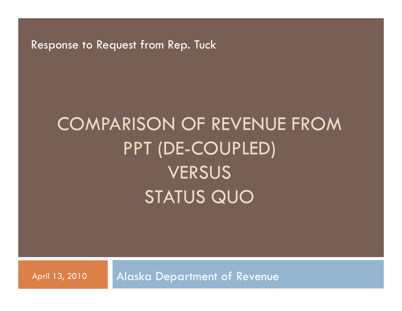Response to Request from Rep. Tuck

# COMPARISON OF REVENUE FROM PPT (DE-COUPLED) **VERSUS** STATUS QUO

April 13, 2010 | Alaska Department of Revenue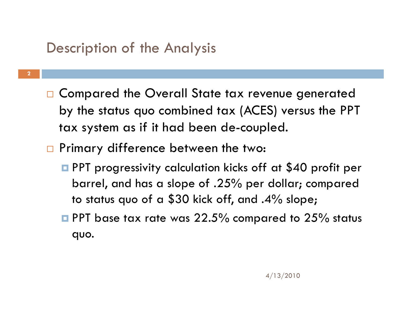### Description of the Analysis

**2**

- $\Box$  Compared the Overall State tax revenue generated by the status quo combined tax (ACES) versus the PPT tax system as if it had been de-coupled.
- **n** Primary difference between the two:
	- **PPT** progressivity calculation kicks off at \$40 profit per barrel, and has a slope of .25% per dollar; compared to status quo of a \$30 kick off, and .4% slope;
	- $\blacksquare$  PPT base tax rate was 22.5% compared to 25% status quo.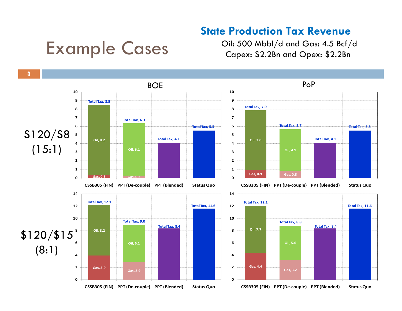#### **State Production Tax Revenue**

## Example Cases

Oil: 500 Mbbl/d and Gas: 4.5 Bcf/d Capex: \$2.2Bn and Opex: \$2.2Bn

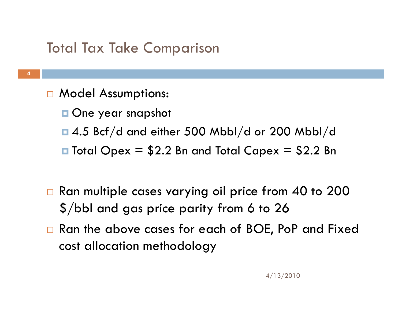### Total Tax Take Comparison

- **n** Model Assumptions:
	- **One year snapshot**
	- $\Box$  4.5 Bcf/d and either 500 Mbbl/d or 200 Mbbl/d
	- $\blacksquare$  Total Opex = \$2.2 Bn and Total Capex = \$2.2 Bn
- $\Box$  Ran multiple cases varying oil price from 40 to 200  $\$/\rm bb$ l and gas price parity from 6 to 26
- □ Ran the above cases for each of BOE, PoP and Fixed cost allocation methodology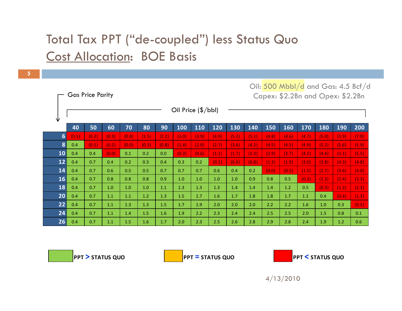#### Total Tax PPT ("de-coupled") less Status Quo Cost Allocation: BOE Basis

**5**

|                  |                             | <b>Gas Price Parity</b> |       |       |       |       |         | Capex: \$2.2Bn and Opex: \$2.2Bn |         |         |       |       |       |       |       |       |       |
|------------------|-----------------------------|-------------------------|-------|-------|-------|-------|---------|----------------------------------|---------|---------|-------|-------|-------|-------|-------|-------|-------|
| V                | Oil Price $(\frac{5}{bb}I)$ |                         |       |       |       |       |         |                                  |         |         |       |       |       |       |       |       |       |
|                  | 40                          | 50                      | 60    | 70    | 80    | 90    | 100     | 110                              | 120     | 130     | 140   | 150   | 160   | 170   | 180   | 190   | 200   |
| $6 \overline{6}$ | (0.1)                       | (0.2)                   | (0.3) | (0.8) | (1.5) | (2.2) | (3.0)   | (3.9)                            | (4.9)   | (5.2)   | (5.1) | (4.8) | (4.6) | (4.7) | (5.0) | (5.9) | (7.0) |
| 8                | 0.4                         | (0.1)                   | (0.2) | (0.0) | (0.3) | (0.8) | (1.4)   | (2.0)                            | (2.7)   | (3.4)   | (4.2) | (4.5) | (4.5) | (4.9) | (5.2) | (5.6) | (5.9) |
| 10               | 0.4                         | 0.4                     | (0.0) | 0.1   | 0.2   | 0.0   | (0.3)   | (0.6)                            | (1.1)   | (1.7)   | (2.3) | (2.9) | (3.7) | (4.2) | (4.6) | (5.1) | (5.5) |
| 12               | 0.4                         | 0.7                     | 0.4   | 0.2   | 0.3   | 0.4   | 0.3     | 0.2                              | (0.1)   | (0.4)   | (0.8) | (1.3) | (1.9) | (3.0) | (3.8) | (4.3) | (4.8) |
| 14               | 0.4                         | 0.7                     | 0.6   | 0.5   | 0.5   | 0.7   | 0.7     | 0.7                              | 0.6     | 0.4     | 0.2   | (0.0) | (0.5) | (1.5) | (2.7) | (3.6) | (4.0) |
| 16               | 0.4                         | 0.7                     | 0.8   | 0.8   | 0.8   | 0.9   | $1.0\,$ | $1.0$                            | $1.0\,$ | $1.0\,$ | 0.9   | 0.8   | 0.5   | (0.3) | (1.3) | (2.4) | (3.3) |
| 18               | 0.4                         | 0.7                     | 1.0   | 1.0   | 1.0   | 1.1   | 1.3     | 1.3                              | 1.3     | 1.4     | 1.4   | 1.4   | 1.2   | 0.5   | (0.3) | (1.2) | (2.3) |
| 20 <sub>2</sub>  | 0.4                         | 0.7                     | 1.1   | 1.1   | 1.2   | 1.3   | 1.5     | 1.7                              | 1.6     | 1.7     | 1.8   | 1.8   | 1.7   | 1.1   | 0.4   | (0.4) | (1.3) |
| 22               | 0.4                         | 0.7                     | 1.1   | 1.3   | 1.3   | 1.5   | 1.7     | 1.9                              | 2.0     | 2.0     | 2.0   | 2.2   | 2.2   | 1.6   | 1.0   | 0.3   | (0.5) |
| 24               | 0.4                         | 0.7                     | 1.1   | 1.4   | 1.5   | 1.6   | 1.9     | 2.2                              | 2.3     | 2.4     | 2.4   | 2.5   | 2.5   | 2.0   | 1.5   | 0.8   | 0.1   |
| 26               | 0.4                         | 0.7                     | 1.1   | 1.5   | 1.6   | 1.7   | 2.0     | 2.3                              | 2.5     | 2.6     | 2.8   | 2.9   | 2.8   | 2.4   | 1.9   | 1.2   | 0.6   |

**PPT > STATUS QUO 0.0 PPT**

**= STATUS QUO PPT**



Oil: 500 Mbbl/d and Gas: 4.5 Bcf/d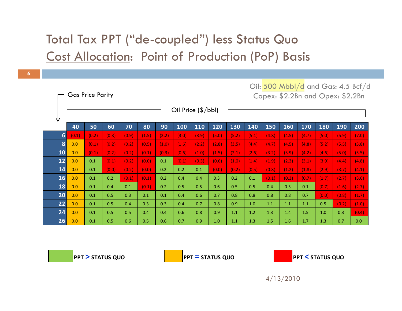#### Total Tax PPT ("de-coupled") less Status Quo Cost Allocation: Point of Production (PoP) Basis

|                |       | <b>Gas Price Parity</b> |       |       |       |       | Capex: \$2.2Bn and Opex: \$2.2Bn |       |       |       |       |       |       |       |       |       |       |
|----------------|-------|-------------------------|-------|-------|-------|-------|----------------------------------|-------|-------|-------|-------|-------|-------|-------|-------|-------|-------|
| V              |       |                         |       |       |       |       | Oil Price (\$/bbl)               |       |       |       |       |       |       |       |       |       |       |
|                | 40    | 50                      | 60    | 70    | 80    | 90    | 100                              | 110   | 120   | 130   | 140   | 150   | 160   | 170   | 180   | 190   | 200   |
| $6\phantom{1}$ | (0.1) | (0.2)                   | (0.3) | (0.9) | (1.5) | (2.2) | (3.0)                            | (3.9) | (5.0) | (5.2) | (5.1) | (4.8) | (4.5) | (4.7) | (5.0) | (5.9) | (7.0) |
| 8              | 0.0   | (0.1)                   | (0.2) | (0.2) | (0.5) | (1.0) | (1.6)                            | (2.2) | (2.8) | (3.5) | (4.4) | (4.7) | (4.5) | (4.8) | (5.2) | (5.5) | (5.8) |
| 10             | 0.0   | (0.1)                   | (0.2) | (0.2) | (0.1) | (0.3) | (0.6)                            | (1.0) | (1.5) | (2.1) | (2.6) | (3.2) | (3.9) | (4.2) | (4.6) | (5.0) | (5.5) |
| 12             | 0.0   | 0.1                     | (0.1) | (0.2) | (0.0) | 0.1   | (0.1)                            | (0.3) | (0.6) | (1.0) | (1.4) | (1.9) | (2.3) | (3.1) | (3.9) | (4.4) | (4.8) |
| 14             | 0.0   | 0.1                     | (0.0) | (0.2) | (0.0) | 0.2   | 0.2                              | 0.1   | (0.0) | (0.2) | (0.5) | (0.8) | (1.2) | (1.8) | (2.9) | (3.7) | (4.1) |
| <b>16</b>      | 0.0   | 0.1                     | 0.2   | (0.1) | (0.1) | 0.2   | 0.4                              | 0.4   | 0.3   | 0.2   | 0.1   | (0.1) | (0.3) | (0.7) | (1.7) | (2.7) | (3.6) |
| 18             | 0.0   | 0.1                     | 0.4   | 0.1   | (0.1) | 0.2   | 0.5                              | 0.5   | 0.6   | 0.5   | 0.5   | 0.4   | 0.3   | 0.1   | (0.7) | (1.6) | (2.7) |
| 20             | 0.0   | 0.1                     | 0.5   | 0.3   | 0.1   | 0.1   | 0.4                              | 0.6   | 0.7   | 0.8   | 0.8   | 0.8   | 0.8   | 0.7   | (0.0) | (0.8) | (1.7) |
| 22             | 0.0   | 0.1                     | 0.5   | 0.4   | 0.3   | 0.3   | 0.4                              | 0.7   | 0.8   | 0.9   | 1.0   | 1.1   | 1.1   | 1.1   | 0.5   | (0.2) | (1.0) |
| 24             | 0.0   | 0.1                     | 0.5   | 0.5   | 0.4   | 0.4   | 0.6                              | 0.8   | 0.9   | 1.1   | 1.2   | 1.3   | 1.4   | 1.5   | 1.0   | 0.3   | (0.4) |
| 26             | 0.0   | 0.1                     | 0.5   | 0.6   | 0.5   | 0.6   | 0.7                              | 0.9   | 1.0   | 1.1   | 1.3   | 1.5   | 1.6   | 1.7   | 1.3   | 0.7   | 0.0   |

**PPT > STATUS QUO 0.0 PPT**

**= STATUS QUO PPT**



Oil: 500 Mbbl/d and Gas: 4.5 Bcf/d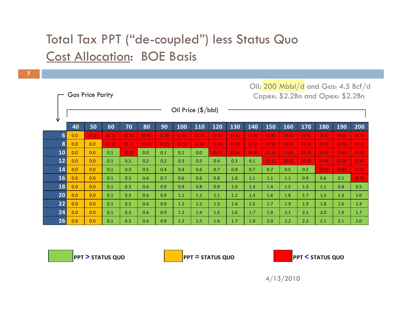#### Total Tax PPT ("de-coupled") less Status Quo Cost Allocation: BOE Basis

**7**

|                |     | <b>Gas Price Parity</b> |       |       |       | Oil: 200 Mbbl/d and Gas: 4.5 Bcf/d<br>Capex: \$2.2Bn and Opex: \$2.2Bn |                             |       |       |       |       |       |       |       |       |            |       |
|----------------|-----|-------------------------|-------|-------|-------|------------------------------------------------------------------------|-----------------------------|-------|-------|-------|-------|-------|-------|-------|-------|------------|-------|
| V              |     |                         |       |       |       |                                                                        | Oil Price $(\frac{5}{bb}I)$ |       |       |       |       |       |       |       |       |            |       |
|                | 40  | 50                      | 60    | 70    | 80    | 90                                                                     | 100                         | 110   | 120   | 130   | 140   | 150   | 160   | 170   | 180   | <b>190</b> | 200   |
| $6\phantom{1}$ | 0.0 | (0.1)                   | (0.2) | (0.3) | (0.8) | (1.3)                                                                  | (1.8)                       | (2.5) | (3.2) | (4.0) | (3.9) | (3.8) | (3.6) | (3.5) | (3.4) | (4.0)      | (4.7) |
| 8              | 0.0 | 0.0                     | (0.1) | (0.1) | (0.0) | (0.2)                                                                  | (0.5)                       | (1.0) | (1.4) | (1.8) | (2.3) | (2.9) | (3.5) | (3.7) | (3.9) | (4.0)      | (4.1) |
| 10             | 0.0 | 0.0                     | 0.1   | (0.0) | 0.0   | 0.1                                                                    | 0.2                         | 0.0   | (0.2) | (0.6) | (0.9) | (1.2) | (1.6) | (2.2) | (2.9) | (3.6)      | (3.9) |
| 12             | 0.0 | 0.0                     | 0.1   | 0.3   | 0.2   | 0.2                                                                    | 0.3                         | 0.5   | 0.4   | 0.3   | 0.1   | (0.1) | (0.4) | (0.9) | (1.4) | (2.0)      | (2.6) |
| 14             | 0.0 | 0.0                     | 0.1   | 0.3   | 0.5   | 0.4                                                                    | 0.4                         | 0.6   | 0.7   | 0.8   | 0.7   | 0.7   | 0.5   | 0.2   | (0.3) | (0.8)      | (1.3) |
| 16             | 0.0 | 0.0                     | 0.1   | 0.3   | 0.6   | 0.7                                                                    | 0.6                         | 0.6   | 0.8   | 1.0   | 1.1   | 1.1   | 1.1   | 0.9   | 0.6   | 0.2        | (0.3) |
| 18             | 0.0 | 0.0                     | 0.1   | 0.3   | 0.6   | 0.9                                                                    | 0.9                         | 0.8   | 0.9   | 1.0   | 1.3   | 1.4   | 1.5   | 1.3   | 1.1   | 0.8        | 0.5   |
| 20             | 0.0 | 0.0                     | 0.1   | 0.3   | 0.6   | 0.9                                                                    | 1.1                         | 1.1   | 1.1   | 1.2   | 1.3   | 1.6   | 1.8   | 1.7   | 1.5   | 1.3        | 1.0   |
| 22             | 0.0 | 0.0                     | 0.1   | 0.3   | 0.6   | 0.9                                                                    | 1.2                         | 1.2   | 1.3   | 1.4   | 1.5   | 1.7   | 1.9   | 1.9   | 1.8   | 1.6        | 1.4   |
| 24             | 0.0 | 0.0                     | 0.1   | 0.3   | 0.6   | 0.9                                                                    | 1.2                         | 1.4   | 1.5   | 1.6   | 1.7   | 1.9   | 2.1   | 2.1   | 2.0   | 1.9        | 1.7   |
| 26             | 0.0 | 0.0                     | 0.1   | 0.3   | 0.6   | 0.9                                                                    | 1.2                         | 1.5   | 1.6   | 1.7   | 1.9   | 2.0   | 2.2   | 2.3   | 2.1   | 2.1        | 2.0   |

**PPT > STATUS QUO 0.0 PPT**

**= STATUS QUO PPT**

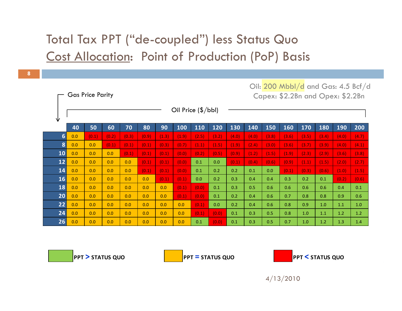#### Total Tax PPT ("de-coupled") less Status Quo Cost Allocation: Point of Production (PoP) Basis

|  | Oil: 200 Mbbl/d and Gas: 4.5 Bcf/d |  |  |  |
|--|------------------------------------|--|--|--|
|  | Capex: \$2.2Bn and Opex: \$2.2Bn   |  |  |  |

| V  | Oil Price (\$/bbl)    |       |       |       |       |       |       |       |       |       |       |       |       |       |       |       |       |
|----|-----------------------|-------|-------|-------|-------|-------|-------|-------|-------|-------|-------|-------|-------|-------|-------|-------|-------|
|    | 40                    | 50    | 60    | 70    | 80    | 90    | 100   | 110   | 120   | 130   | 140   | 150   | 160   | 170   | 180   | 190   | 200   |
|    | $6\phantom{1}$<br>0.0 | (0.1) | (0.2) | (0.3) | (0.9) | (1.3) | (1.9) | (2.5) | (3.2) | (4.0) | (4.0) | (3.8) | (3.6) | (3.5) | (3.4) | (4.0) | (4.7) |
|    | 8<br>0.0              | 0.0   | (0.1) | (0.1) | (0.1) | (0.3) | (0.7) | (1.1) | (1.5) | (1.9) | (2.4) | (3.0) | (3.6) | (3.7) | (3.9) | (4.0) | (4.1) |
| 10 | 0.0                   | 0.0   | 0.0   | (0.1) | (0.1) | (0.1) | (0.0) | (0.2) | (0.5) | (0.9) | (1.2) | (1.5) | (1.9) | (2.3) | (2.9) | (3.6) | (3.8) |
| 12 | 0.0                   | 0.0   | 0.0   | 0.0   | (0.1) | (0.1) | (0.0) | 0.1   | 0.0   | (0.1) | (0.4) | (0.6) | (0.9) | (1.1) | (1.5) | (2.0) | (2.7) |
| 14 | 0.0                   | 0.0   | 0.0   | 0.0   | (0.1) | (0.1) | (0.0) | 0.1   | 0.2   | 0.2   | 0.1   | 0.0   | (0.1) | (0.3) | (0.6) | (1.0) | (1.5) |
| 16 | 0.0                   | 0.0   | 0.0   | 0.0   | 0.0   | (0.1) | (0.1) | 0.0   | 0.2   | 0.3   | 0.4   | 0.4   | 0.3   | 0.2   | 0.1   | (0.2) | (0.6) |
| 18 | 0.0                   | 0.0   | 0.0   | 0.0   | 0.0   | 0.0   | (0.1) | (0.0) | 0.1   | 0.3   | 0.5   | 0.6   | 0.6   | 0.6   | 0.6   | 0.4   | 0.1   |
| 20 | 0.0                   | 0.0   | 0.0   | 0.0   | 0.0   | 0.0   | (0.1) | (0.0) | 0.1   | 0.2   | 0.4   | 0.6   | 0.7   | 0.8   | 0.8   | 0.9   | 0.6   |
| 22 | 0.0                   | 0.0   | 0.0   | 0.0   | 0.0   | 0.0   | 0.0   | (0.1) | 0.0   | 0.2   | 0.4   | 0.6   | 0.8   | 0.9   | 1.0   | 1.1   | 1.0   |
| 24 | 0.0                   | 0.0   | 0.0   | 0.0   | 0.0   | 0.0   | 0.0   | (0.1) | (0.0) | 0.1   | 0.3   | 0.5   | 0.8   | 1.0   | 1.1   | 1.2   | 1.2   |
| 26 | 0.0                   | 0.0   | 0.0   | 0.0   | 0.0   | 0.0   | 0.0   | 0.1   | (0.0) | 0.1   | 0.3   | 0.5   | 0.7   | 1.0   | 1.2   | 1.3   | 1.4   |

**PPT>STATUS**

Gas Price Parity

**QUO 0.0 PPT = STATUS QUO PPT**